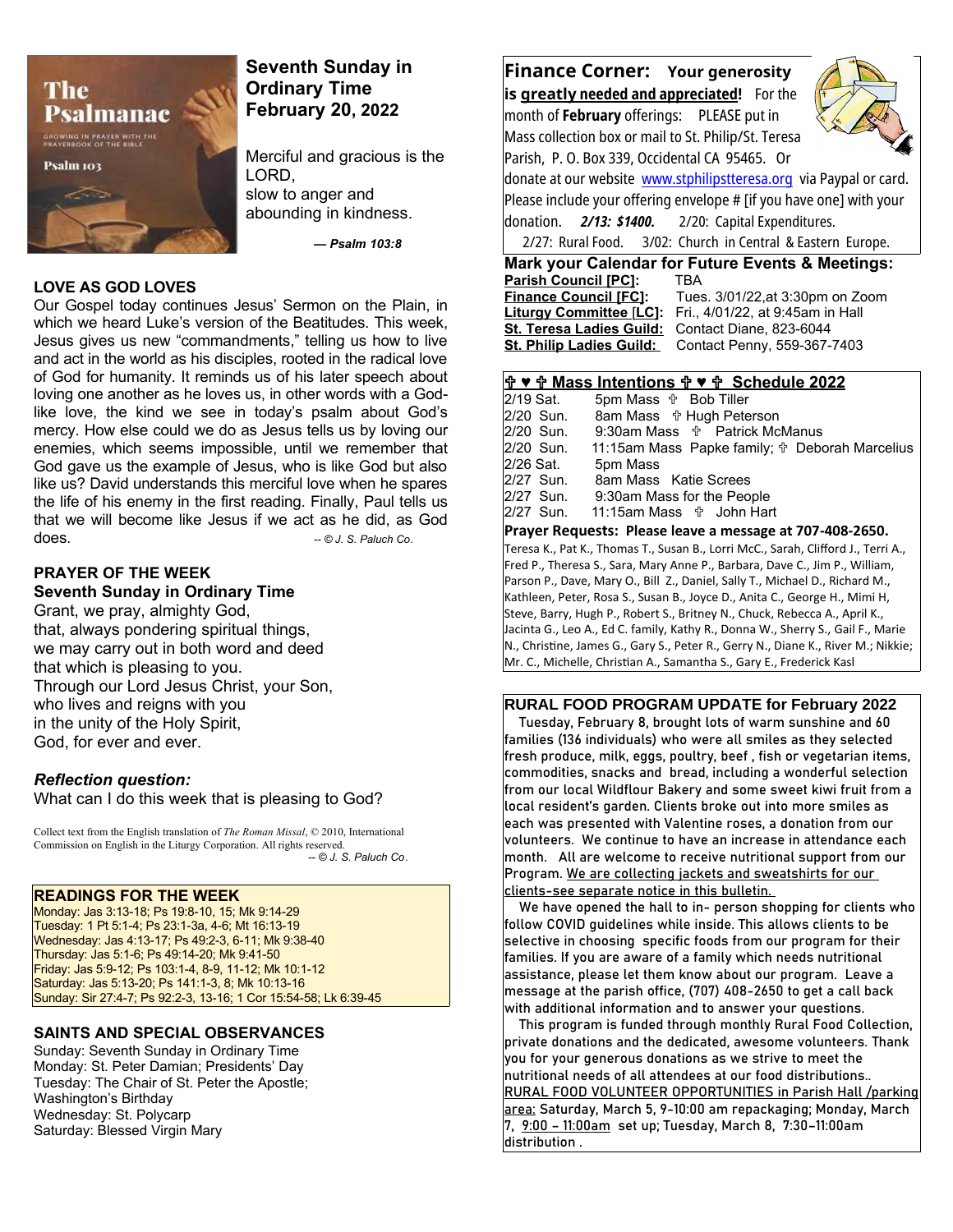

# **Seventh Sunday in Ordinary Time February 20, 2022**

Merciful and gracious is the LORD, slow to anger and abounding in kindness.

*— Psalm 103:8* 

#### **LOVE AS GOD LOVES**

Our Gospel today continues Jesus' Sermon on the Plain, in which we heard Luke's version of the Beatitudes. This week, Jesus gives us new "commandments," telling us how to live and act in the world as his disciples, rooted in the radical love of God for humanity. It reminds us of his later speech about loving one another as he loves us, in other words with a Godlike love, the kind we see in today's psalm about God's mercy. How else could we do as Jesus tells us by loving our enemies, which seems impossible, until we remember that God gave us the example of Jesus, who is like God but also like us? David understands this merciful love when he spares the life of his enemy in the first reading. Finally, Paul tells us that we will become like Jesus if we act as he did, as God does. *-- © J. S. Paluch Co*.

## **PRAYER OF THE WEEK Seventh Sunday in Ordinary Time**

Grant, we pray, almighty God, that, always pondering spiritual things, we may carry out in both word and deed that which is pleasing to you. Through our Lord Jesus Christ, your Son, who lives and reigns with you in the unity of the Holy Spirit, God, for ever and ever.

#### *Reflection question:*

What can I do this week that is pleasing to God?

Collect text from the English translation of *The Roman Missal*, © 2010, International Commission on English in the Liturgy Corporation. All rights reserved.  *-- © J. S. Paluch Co*.

#### **READINGS FOR THE WEEK**

Monday: Jas 3:13-18; Ps 19:8-10, 15; Mk 9:14-29 Tuesday: 1 Pt 5:1-4; Ps 23:1-3a, 4-6; Mt 16:13-19 Wednesday: Jas 4:13-17; Ps 49:2-3, 6-11; Mk 9:38-40 Thursday: Jas 5:1-6; Ps 49:14-20; Mk 9:41-50 Friday: Jas 5:9-12; Ps 103:1-4, 8-9, 11-12; Mk 10:1-12 Saturday: Jas 5:13-20; Ps 141:1-3, 8; Mk 10:13-16 Sunday: Sir 27:4-7; Ps 92:2-3, 13-16; 1 Cor 15:54-58; Lk 6:39-45

#### **SAINTS AND SPECIAL OBSERVANCES**

Sunday: Seventh Sunday in Ordinary Time Monday: St. Peter Damian; Presidents' Day Tuesday: The Chair of St. Peter the Apostle; Washington's Birthday Wednesday: St. Polycarp Saturday: Blessed Virgin Mary

**Finance Corner: Your generosity is greatly needed and appreciated!** For the month of **February** offerings: PLEASE put in Mass collection box or mail to St. Philip/St. Teresa Parish, P. O. Box 339, Occidental CA 95465. Or donate at our website [www.stphilipstteresa.org](http://www.stphilipstteresa.org/) via Paypal or card.



Please include your offering envelope # [if you have one] with your donation. *2/13: \$1400.* 2/20: Capital Expenditures. 2/27: Rural Food. 3/02: Church in Central & Eastern Europe.

**Mark your Calendar for Future Events & Meetings: Parish Council [PC]: Finance Council [FC]:** Tues. 3/01/22,at 3:30pm on Zoom **Liturgy Committee** [**LC]:** Fri., 4/01/22, at 9:45am in Hall **St. Teresa Ladies Guild:** Contact Diane, 823-6044 St. Philip Ladies Guild: Contact Penny, 559-367-7403

#### **♥ Mass Intentions ♥ Schedule 2022**

|           | .                                                     |
|-----------|-------------------------------------------------------|
| 2/27 Sun. |                                                       |
| 2/27 Sun. | 9:30am Mass for the People                            |
| 2/27 Sun. | 8am Mass Katie Screes                                 |
| 2/26 Sat. | 5pm Mass                                              |
| 2/20 Sun. | 11:15am Mass Papke family; $\oplus$ Deborah Marcelius |
| 2/20 Sun. | 9:30am Mass <b>the Patrick McManus</b>                |
| 2/20 Sun. | 8am Mass $\oplus$ Hugh Peterson                       |
| 2/19 Sat. | 5pm Mass <b><math>\frac{1}{10}</math></b> Bob Tiller  |
|           |                                                       |

### **Prayer Requests: Please leave a message at 707-408-2650.**  Teresa K., Pat K., Thomas T., Susan B., Lorri McC., Sarah, Clifford J., Terri A.,

Fred P., Theresa S., Sara, Mary Anne P., Barbara, Dave C., Jim P., William, Parson P., Dave, Mary O., Bill Z., Daniel, Sally T., Michael D., Richard M., Kathleen, Peter, Rosa S., Susan B., Joyce D., Anita C., George H., Mimi H, Steve, Barry, Hugh P., Robert S., Britney N., Chuck, Rebecca A., April K., Jacinta G., Leo A., Ed C. family, Kathy R., Donna W., Sherry S., Gail F., Marie N., Christine, James G., Gary S., Peter R., Gerry N., Diane K., River M.; Nikkie; Mr. C., Michelle, Christian A., Samantha S., Gary E., Frederick Kasl

#### **RURAL FOOD PROGRAM UPDATE for February 2022**

 Tuesday, February 8, brought lots of warm sunshine and 60 families (136 individuals) who were all smiles as they selected fresh produce, milk, eggs, poultry, beef , fish or vegetarian items, commodities, snacks and bread, including a wonderful selection from our local Wildflour Bakery and some sweet kiwi fruit from a local resident's garden. Clients broke out into more smiles as each was presented with Valentine roses, a donation from our volunteers. We continue to have an increase in attendance each month. All are welcome to receive nutritional support from our Program. We are collecting jackets and sweatshirts for our clients-see separate notice in this bulletin.

 We have opened the hall to in- person shopping for clients who follow COVID guidelines while inside. This allows clients to be selective in choosing specific foods from our program for their families. If you are aware of a family which needs nutritional assistance, please let them know about our program. Leave a message at the parish office, (707) 408-2650 to get a call back with additional information and to answer your questions.

 This program is funded through monthly Rural Food Collection, private donations and the dedicated, awesome volunteers. Thank you for your generous donations as we strive to meet the nutritional needs of all attendees at our food distributions.. RURAL FOOD VOLUNTEER OPPORTUNITIES in Parish Hall /parking area: Saturday, March 5, 9-10:00 am repackaging; Monday, March 7, 9:00 – 11:00am set up; Tuesday, March 8, 7:30–11:00am distribution.